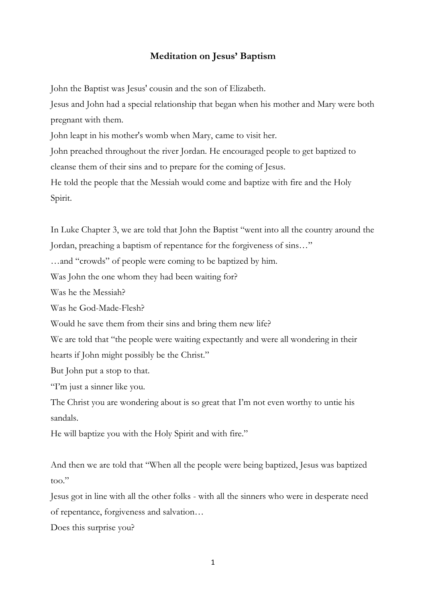## **Meditation on Jesus' Baptism**

John the Baptist was Jesus' cousin and the son of Elizabeth.

Jesus and John had a special relationship that began when his mother and Mary were both pregnant with them.

John leapt in his mother's womb when Mary, [came to visit her.](http://www.how-to-pray-the-rosary-everyday.com/visitation.html)

John preached throughout the river Jordan. He encouraged people to get baptized to cleanse them of their sins and to prepare for the coming of Jesus.

He told the people that the Messiah would come and baptize with fire and the Holy Spirit.

In Luke Chapter 3, we are told that John the Baptist "went into all the country around the Jordan, preaching a baptism of repentance for the forgiveness of sins…" …and "crowds" of people were coming to be baptized by him. Was John the one whom they had been waiting for? Was he the Messiah? Was he God-Made-Flesh? Would he save them from their sins and bring them new life? We are told that "the people were waiting expectantly and were all wondering in their hearts if John might possibly be the Christ." But John put a stop to that. "I'm just a sinner like you. The Christ you are wondering about is so great that I'm not even worthy to untie his sandals. He will baptize you with the Holy Spirit and with fire."

And then we are told that "When all the people were being baptized, Jesus was baptized too."

Jesus got in line with all the other folks - with all the sinners who were in desperate need of repentance, forgiveness and salvation…

Does this surprise you?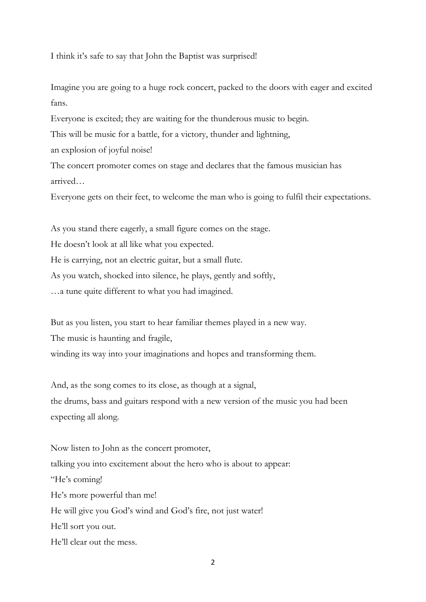I think it's safe to say that John the Baptist was surprised!

Imagine you are going to a huge rock concert, packed to the doors with eager and excited fans.

Everyone is excited; they are waiting for the thunderous music to begin.

This will be music for a battle, for a victory, thunder and lightning,

an explosion of joyful noise!

The concert promoter comes on stage and declares that the famous musician has arrived…

Everyone gets on their feet, to welcome the man who is going to fulfil their expectations.

As you stand there eagerly, a small figure comes on the stage.

He doesn't look at all like what you expected.

He is carrying, not an electric guitar, but a small flute.

As you watch, shocked into silence, he plays, gently and softly,

…a tune quite different to what you had imagined.

But as you listen, you start to hear familiar themes played in a new way.

The music is haunting and fragile,

winding its way into your imaginations and hopes and transforming them.

And, as the song comes to its close, as though at a signal, the drums, bass and guitars respond with a new version of the music you had been expecting all along.

Now listen to John as the concert promoter, talking you into excitement about the hero who is about to appear: "He's coming! He's more powerful than me! He will give you God's wind and God's fire, not just water! He'll sort you out. He'll clear out the mess.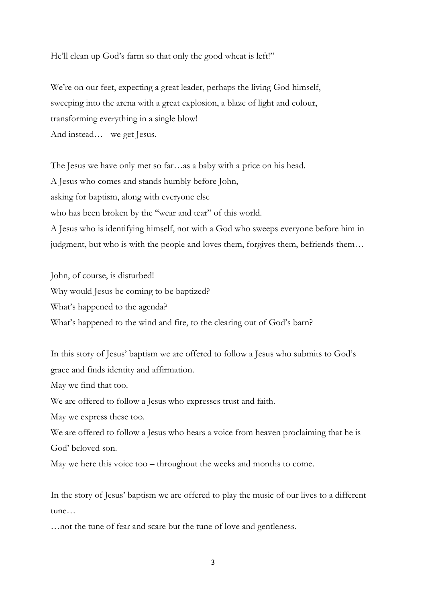He'll clean up God's farm so that only the good wheat is left!"

We're on our feet, expecting a great leader, perhaps the living God himself, sweeping into the arena with a great explosion, a blaze of light and colour, transforming everything in a single blow! And instead… - we get Jesus.

The Jesus we have only met so far…as a baby with a price on his head. A Jesus who comes and stands humbly before John, asking for baptism, along with everyone else who has been broken by the "wear and tear" of this world. A Jesus who is identifying himself, not with a God who sweeps everyone before him in judgment, but who is with the people and loves them, forgives them, befriends them…

John, of course, is disturbed! Why would Jesus be coming to be baptized? What's happened to the agenda? What's happened to the wind and fire, to the clearing out of God's barn?

In this story of Jesus' baptism we are offered to follow a Jesus who submits to God's grace and finds identity and affirmation.

May we find that too.

We are offered to follow a Jesus who expresses trust and faith.

May we express these too.

We are offered to follow a Jesus who hears a voice from heaven proclaiming that he is God' beloved son.

May we here this voice too – throughout the weeks and months to come.

In the story of Jesus' baptism we are offered to play the music of our lives to a different tune…

…not the tune of fear and scare but the tune of love and gentleness.